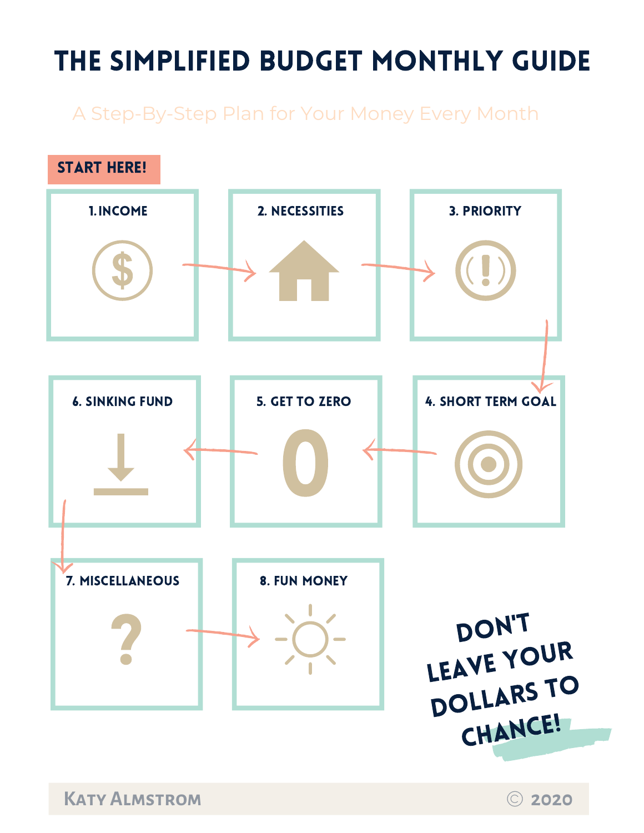## the simplified budget monthly guide

A Step-By-Step Plan for Your Money Every Month

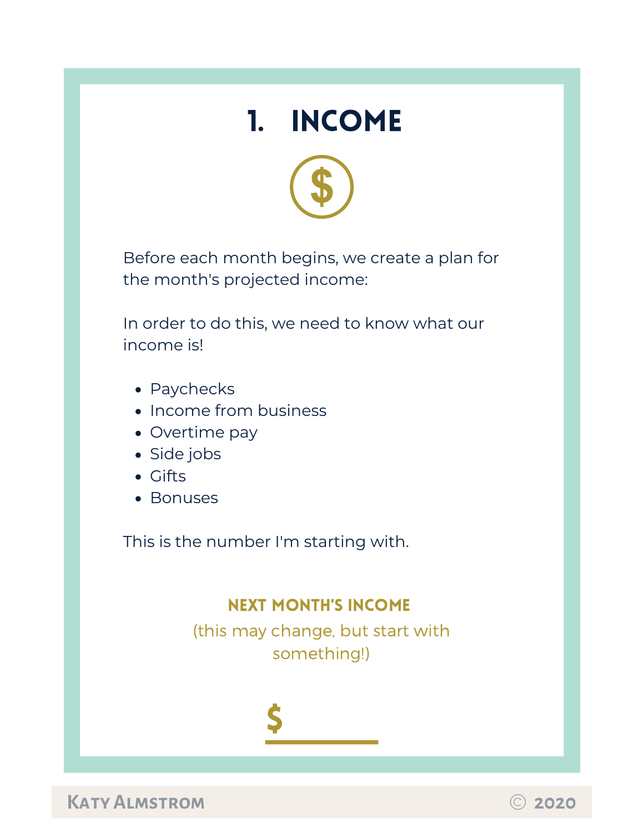



Before each month begins, we create a plan for the month's projected income:

In order to do this, we need to know what our income is!

- Paychecks
- Income from business
- Overtime pay
- Side jobs
- Gifts
- Bonuses

This is the number I'm starting with.

#### next month's income

(this may change, but start with something!)



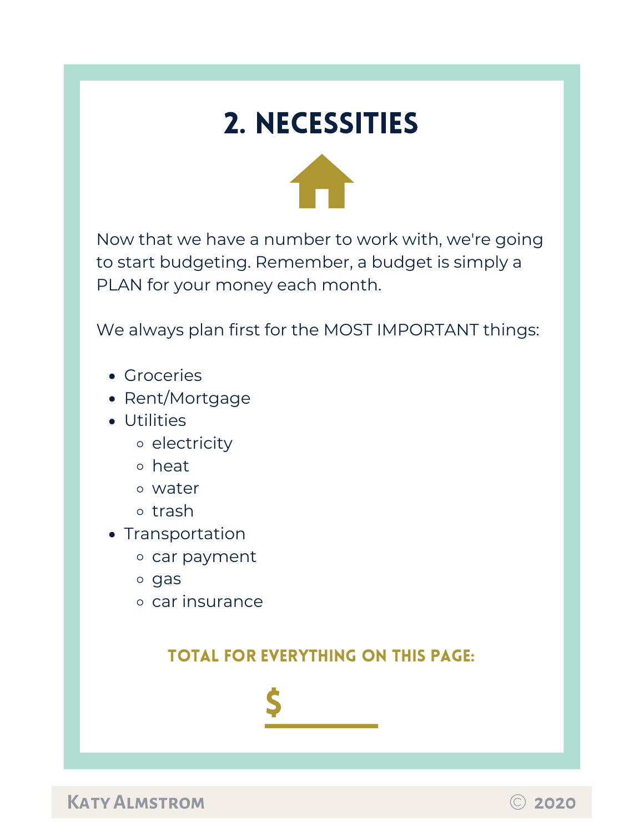## 2. Necessities



Now that we have a number to work with, we're going to start budgeting. Remember, a budget is simply a PLAN for your money each month.

We always plan first for the MOST IMPORTANT things:

- Groceries
- Rent/Mortgage
- Utilities
	- o electricity
	- heat
	- water
	- o trash
- Transportation
	- o car payment
	- o gas
	- car insurance

### total for everything on this page:

\$

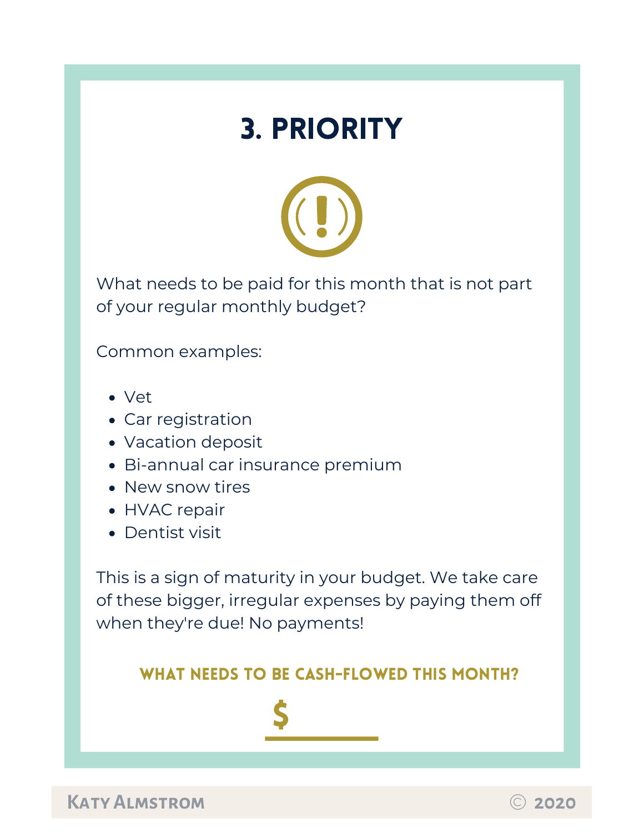## 3. priority



What needs to be paid for this month that is not part of your regular monthly budget?

Common examples:

- Vet
- Car registration
- Vacation deposit
- Bi-annual car insurance premium
- New snow tires
- HVAC repair
- Dentist visit

This is a sign of maturity in your budget. We take care of these bigger, irregular expenses by paying them off when they're due! No payments!

#### WHAT NEEDS TO BE CASH-FLOWED THIS MONTH?



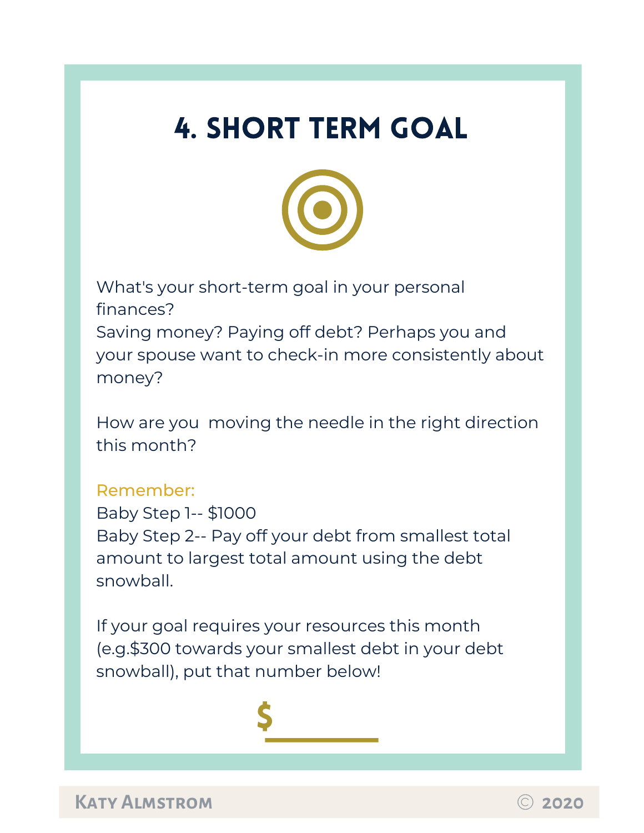## 4. short term goal



What's your short-term goal in your personal finances? Saving money? Paying off debt? Perhaps you and your spouse want to check-in more consistently about money?

How are you moving the needle in the right direction this month?

#### Remember:

Baby Step 1-- \$1000 Baby Step 2-- Pay off your debt from smallest total amount to largest total amount using the debt snowball.

If your goal requires your resources this month (e.g.\$300 towards your smallest debt in your debt snowball), put that number below!

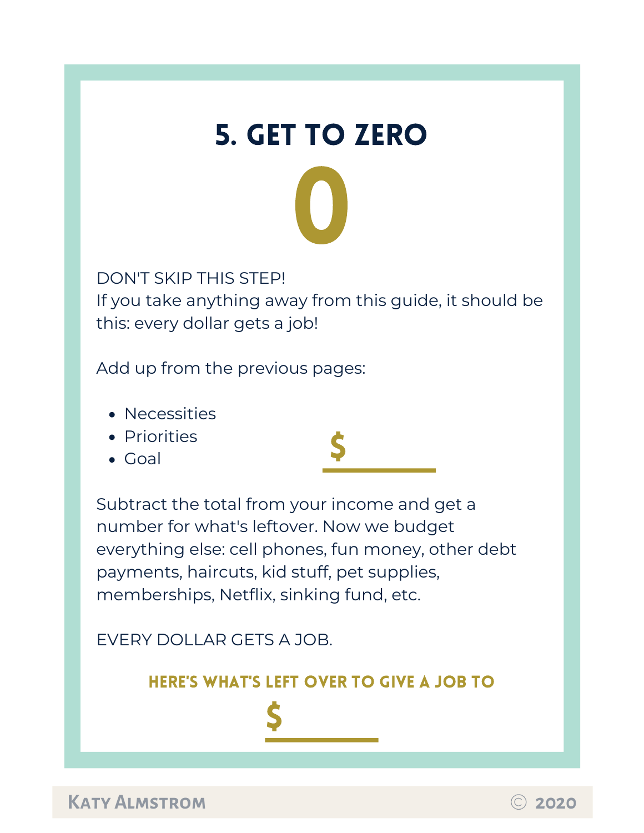

DON'T SKIP THIS STEP! If you take anything away from this guide, it should be this: every dollar gets a job!

Add up from the previous pages:

• Necessities



• Goal

\$

Subtract the total from your income and get a number for what's leftover. Now we budget everything else: cell phones, fun money, other debt payments, haircuts, kid stuff, pet supplies, memberships, Netflix, sinking fund, etc.

EVERY DOLLAR GETS A JOB.

#### here's what's left over to give a job to

\$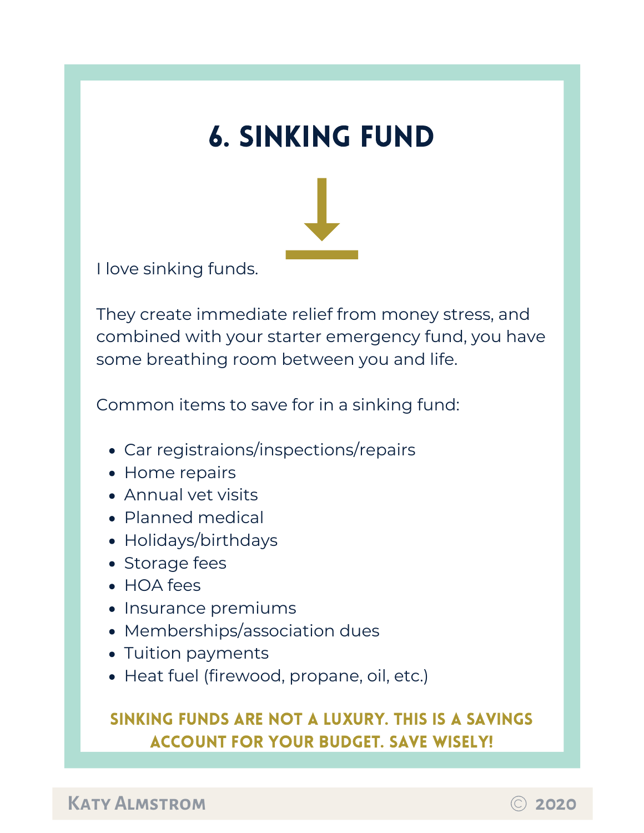## 6. sinking fund



I love sinking funds.

They create immediate relief from money stress, and combined with your starter emergency fund, you have some breathing room between you and life.

Common items to save for in a sinking fund:

- Car registraions/inspections/repairs
- Home repairs
- Annual vet visits
- Planned medical
- Holidays/birthdays
- Storage fees
- HOA fees
- Insurance premiums
- Memberships/association dues
- Tuition payments
- Heat fuel (firewood, propane, oil, etc.)

## sinking funds are not a luxury. This is a savings account for your budget. Save wisely!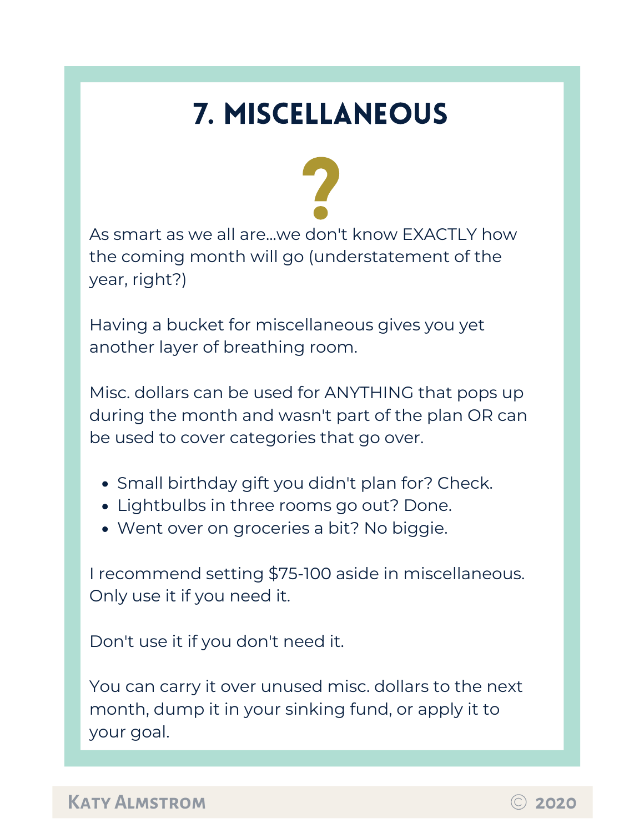# 7. miscellaneous



As smart as we all are...we don't know EXACTLY how the coming month will go (understatement of the year, right?)

Having a bucket for miscellaneous gives you yet another layer of breathing room.

Misc. dollars can be used for ANYTHING that pops up during the month and wasn't part of the plan OR can be used to cover categories that go over.

- Small birthday gift you didn't plan for? Check.
- Lightbulbs in three rooms go out? Done.
- Went over on groceries a bit? No biggie.

I recommend setting \$75-100 aside in miscellaneous. Only use it if you need it.

Don't use it if you don't need it.

You can carry it over unused misc. dollars to the next month, dump it in your sinking fund, or apply it to your goal.